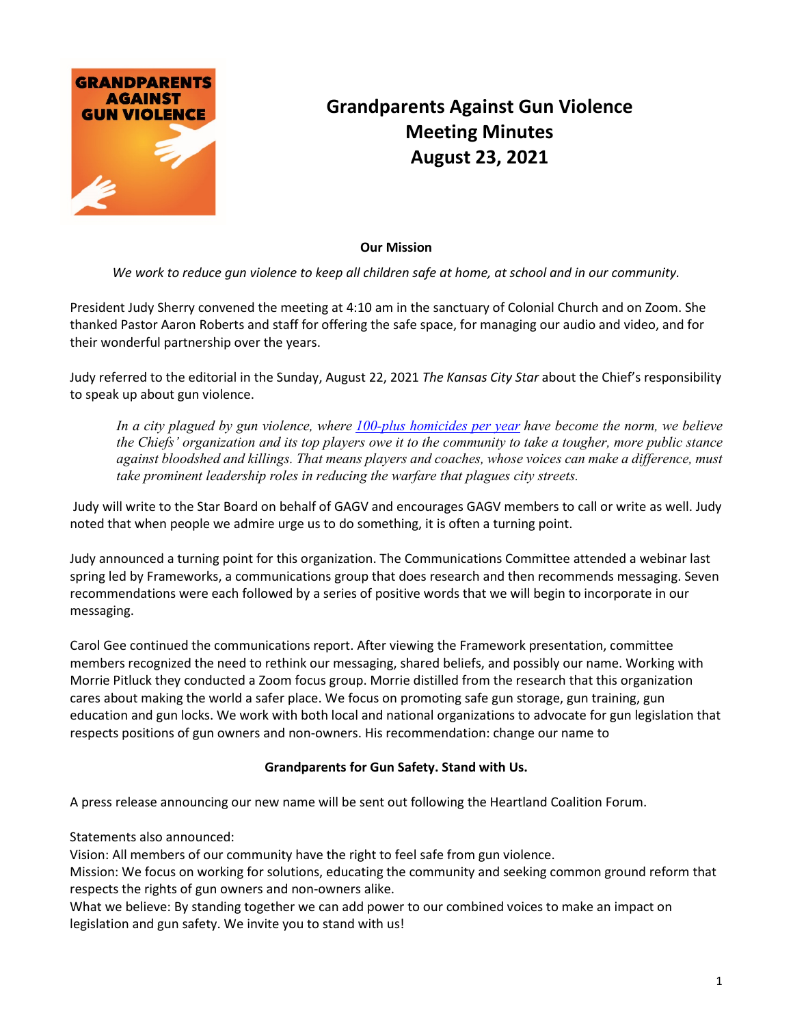

## **Grandparents Against Gun Violence Meeting Minutes August 23, 2021**

## **Our Mission**

*We work to reduce gun violence to keep all children safe at home, at school and in our community.*

President Judy Sherry convened the meeting at 4:10 am in the sanctuary of Colonial Church and on Zoom. She thanked Pastor Aaron Roberts and staff for offering the safe space, for managing our audio and video, and for their wonderful partnership over the years.

Judy referred to the editorial in the Sunday, August 22, 2021 *The Kansas City Star* about the Chief's responsibility to speak up about gun violence.

*In a city plagued by gun violence, where [100-plus homicides per year](https://www.kansascity.com/opinion/editorials/article243972612.html) have become the norm, we believe the Chiefs' organization and its top players owe it to the community to take a tougher, more public stance against bloodshed and killings. That means players and coaches, whose voices can make a difference, must take prominent leadership roles in reducing the warfare that plagues city streets.*

Judy will write to the Star Board on behalf of GAGV and encourages GAGV members to call or write as well. Judy noted that when people we admire urge us to do something, it is often a turning point.

Judy announced a turning point for this organization. The Communications Committee attended a webinar last spring led by Frameworks, a communications group that does research and then recommends messaging. Seven recommendations were each followed by a series of positive words that we will begin to incorporate in our messaging.

Carol Gee continued the communications report. After viewing the Framework presentation, committee members recognized the need to rethink our messaging, shared beliefs, and possibly our name. Working with Morrie Pitluck they conducted a Zoom focus group. Morrie distilled from the research that this organization cares about making the world a safer place. We focus on promoting safe gun storage, gun training, gun education and gun locks. We work with both local and national organizations to advocate for gun legislation that respects positions of gun owners and non-owners. His recommendation: change our name to

## **Grandparents for Gun Safety. Stand with Us.**

A press release announcing our new name will be sent out following the Heartland Coalition Forum.

Statements also announced:

Vision: All members of our community have the right to feel safe from gun violence.

Mission: We focus on working for solutions, educating the community and seeking common ground reform that respects the rights of gun owners and non-owners alike.

What we believe: By standing together we can add power to our combined voices to make an impact on legislation and gun safety. We invite you to stand with us!